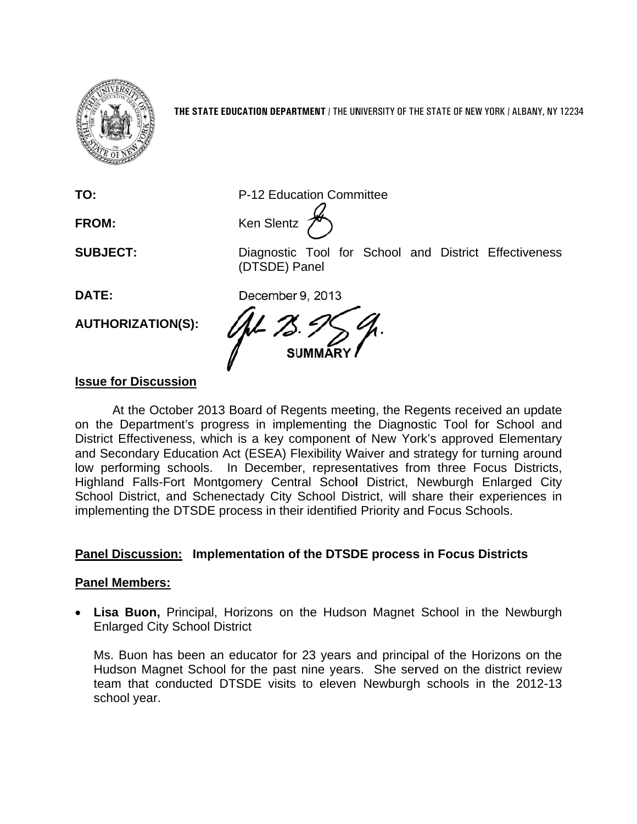

THE STATE EDUCATION DEPARTMENT / THE UNIVERSITY OF THE STATE OF NEW YORK / ALBANY, NY 12234

TO:

**FROM:** 

**SUBJECT:** 

Ken Slentz

P-12 Education Committee

DATE:

**AUTHORIZATION(S):** 

Diagnostic Tool for School and District Effectiveness (DTSDE) Panel

December 9, 2013

## **Issue for Discussion**

At the October 2013 Board of Regents meeting, the Regents received an update on the Department's progress in implementing the Diagnostic Tool for School and District Effectiveness, which is a key component of New York's approved Elementary and Secondary Education Act (ESEA) Flexibility Waiver and strategy for turning around low performing schools. In December, representatives from three Focus Districts, Highland Falls-Fort Montgomery Central School District, Newburgh Enlarged City School District, and Schenectady City School District, will share their experiences in implementing the DTSDE process in their identified Priority and Focus Schools.

## Panel Discussion: Implementation of the DTSDE process in Focus Districts

## **Panel Members:**

• Lisa Buon, Principal, Horizons on the Hudson Magnet School in the Newburgh **Enlarged City School District** 

Ms. Buon has been an educator for 23 years and principal of the Horizons on the Hudson Magnet School for the past nine years. She served on the district review team that conducted DTSDE visits to eleven Newburgh schools in the 2012-13 school year.